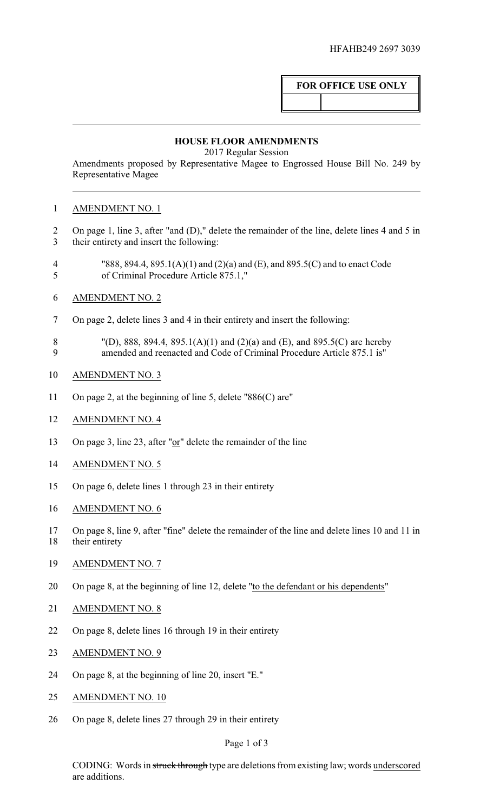## **FOR OFFICE USE ONLY**

## **HOUSE FLOOR AMENDMENTS**

2017 Regular Session

Amendments proposed by Representative Magee to Engrossed House Bill No. 249 by Representative Magee

## AMENDMENT NO. 1

- On page 1, line 3, after "and (D)," delete the remainder of the line, delete lines 4 and 5 in their entirety and insert the following:
- "888, 894.4, 895.1(A)(1) and (2)(a) and (E), and 895.5(C) and to enact Code of Criminal Procedure Article 875.1,"
- AMENDMENT NO. 2
- On page 2, delete lines 3 and 4 in their entirety and insert the following:
- 8 "(D), 888, 894.4, 895.1(A)(1) and (2)(a) and (E), and 895.5(C) are hereby<br>9 amended and reenacted and Code of Criminal Procedure Article 875.1 is" amended and reenacted and Code of Criminal Procedure Article 875.1 is"
- AMENDMENT NO. 3
- On page 2, at the beginning of line 5, delete "886(C) are"
- AMENDMENT NO. 4
- On page 3, line 23, after "or" delete the remainder of the line
- 14 AMENDMENT NO. 5
- On page 6, delete lines 1 through 23 in their entirety
- AMENDMENT NO. 6
- On page 8, line 9, after "fine" delete the remainder of the line and delete lines 10 and 11 in
- 18 their entirety
- AMENDMENT NO. 7
- On page 8, at the beginning of line 12, delete "to the defendant or his dependents"
- AMENDMENT NO. 8
- On page 8, delete lines 16 through 19 in their entirety
- AMENDMENT NO. 9
- On page 8, at the beginning of line 20, insert "E."
- AMENDMENT NO. 10
- On page 8, delete lines 27 through 29 in their entirety

## Page 1 of 3

CODING: Words in struck through type are deletions from existing law; words underscored are additions.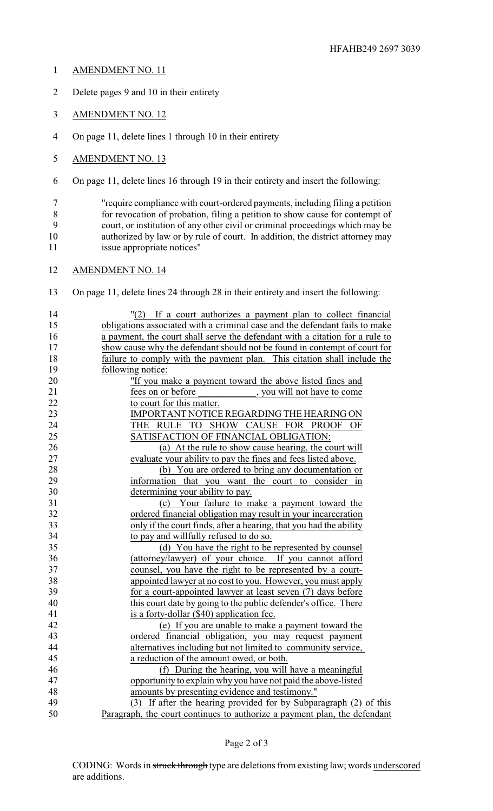- AMENDMENT NO. 11
- Delete pages 9 and 10 in their entirety
- AMENDMENT NO. 12
- On page 11, delete lines 1 through 10 in their entirety
- AMENDMENT NO. 13
- On page 11, delete lines 16 through 19 in their entirety and insert the following:

 "require compliance with court-ordered payments, including filing a petition for revocation of probation, filing a petition to show cause for contempt of court, or institution of any other civil or criminal proceedings which may be authorized by law or by rule of court. In addition, the district attorney may issue appropriate notices"

AMENDMENT NO. 14

On page 11, delete lines 24 through 28 in their entirety and insert the following:

 "(2) If a court authorizes a payment plan to collect financial obligations associated with a criminal case and the defendant fails to make a payment, the court shall serve the defendant with a citation for a rule to show cause why the defendant should not be found in contempt of court for failure to comply with the payment plan. This citation shall include the following notice: "If you make a payment toward the above listed fines and 21 fees on or before , you will not have to come 22 to court for this matter. 23 IMPORTANT NOTICE REGARDING THE HEARING ON THE RULE TO SHOW CAUSE FOR PROOF OF SATISFACTION OF FINANCIAL OBLIGATION: 26 (a) At the rule to show cause hearing, the court will evaluate your ability to pay the fines and fees listed above. 27 evaluate your ability to pay the fines and fees listed above.<br>
28 (b) You are ordered to bring any documentation of 28 (b) You are ordered to bring any documentation or<br>29 information that you want the court to consider in 29 information that you want the court to consider in<br>30 determining your ability to pay. determining your ability to pay. (c) Your failure to make a payment toward the ordered financial obligation may result in your incarceration only if the court finds, after a hearing, that you had the ability to pay and willfully refused to do so. (d) You have the right to be represented by counsel (attorney/lawyer) of your choice. If you cannot afford counsel, you have the right to be represented by a court- appointed lawyer at no cost to you. However, you must apply for a court-appointed lawyer at least seven (7) days before this court date by going to the public defender's office. There is a forty-dollar (\$40) application fee. (e) If you are unable to make a payment toward the ordered financial obligation, you may request payment alternatives including but not limited to community service, a reduction of the amount owed, or both. (f) During the hearing, you will have a meaningful opportunity to explain why you have not paid the above-listed amounts by presenting evidence and testimony." (3) If after the hearing provided for by Subparagraph (2) of this Paragraph, the court continues to authorize a payment plan, the defendant

Page 2 of 3